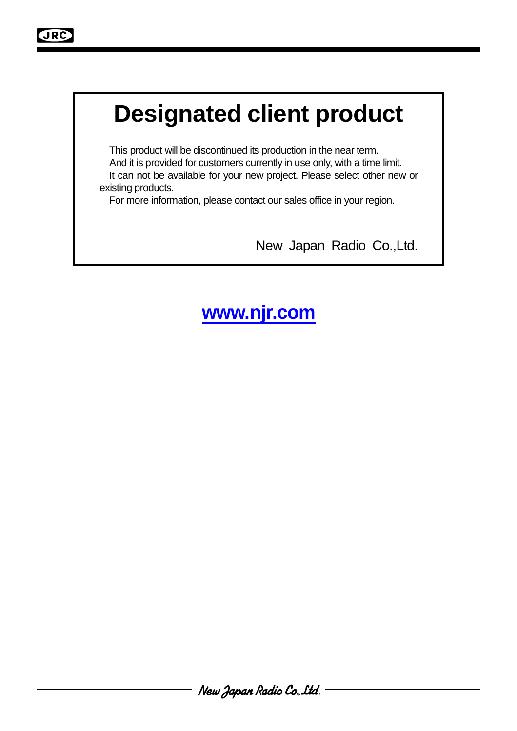# **Designated client product**

This product will be discontinued its production in the near term. And it is provided for customers currently in use only, with a time limit. It can not be available for your new project. Please select other new or existing products.

For more information, please contact our sales office in your region.

New Japan Radio Co.,Ltd.

### **www.njr.com**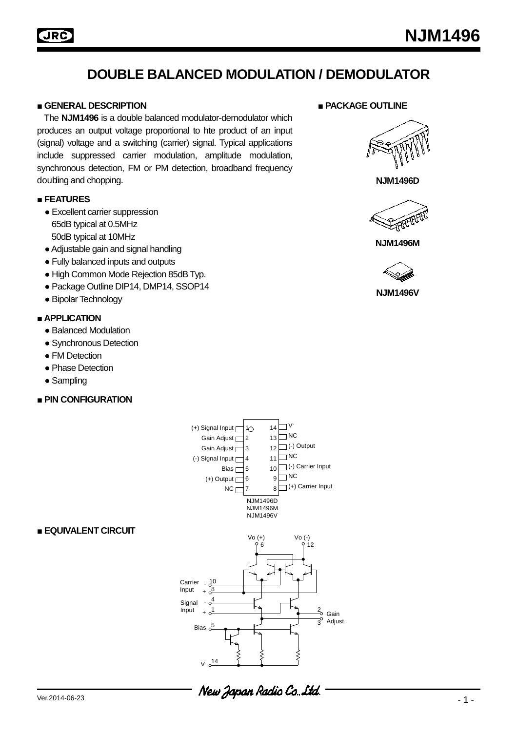### **DOUBLE BALANCED MODULATION / DEMODULATOR**

#### **■ GENERAL DESCRIPTION ■ PACKAGE OUTLINE**

The **NJM1496** is a double balanced modulator-demodulator which produces an output voltage proportional to hte product of an input (signal) voltage and a switching (carrier) signal. Typical applications include suppressed carrier modulation, amplitude modulation, synchronous detection, FM or PM detection, broadband frequency doubling and chopping.

#### **■ FEATURES**

- Excellent carrier suppression 65dB typical at 0.5MHz 50dB typical at 10MHz
- ●Adjustable gain and signal handling
- Fully balanced inputs and outputs
- High Common Mode Rejection 85dB Typ.
- Package Outline DIP14, DMP14, SSOP14
- Bipolar Technology

#### **■ APPLICATION**

- Balanced Modulation
- Synchronous Detection
- FM Detection
- Phase Detection
- Sampling

#### **■ PIN CONFIGURATION**



#### **■ EQUIVALENT CIRCUIT**







**NJM1496D**



**NJM1496M**



**NJM1496V**

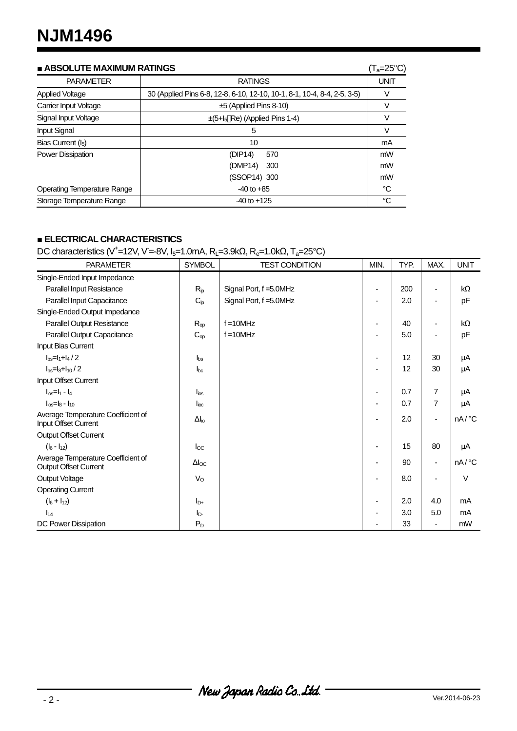| <b>ABSOLUTE MAXIMUM RATINGS</b>    |                                                                          |    |  |  |  |
|------------------------------------|--------------------------------------------------------------------------|----|--|--|--|
| <b>PARAMETER</b>                   | <b>RATINGS</b>                                                           |    |  |  |  |
| Applied Voltage                    | 30 (Applied Pins 6-8, 12-8, 6-10, 12-10, 10-1, 8-1, 10-4, 8-4, 2-5, 3-5) | V  |  |  |  |
| Carrier Input Voltage              | $\pm 5$ (Applied Pins 8-10)                                              | V  |  |  |  |
| Signal Input Voltage               | $\pm$ (5+l <sub>5</sub> Re) (Applied Pins 1-4)                           | V  |  |  |  |
| <b>Input Signal</b>                | 5                                                                        | V  |  |  |  |
| Bias Current $(I_5)$               | 10                                                                       | mA |  |  |  |
| <b>Power Dissipation</b>           | 570<br>(DIP14)                                                           | mW |  |  |  |
|                                    | (DMP14)<br>300                                                           | mW |  |  |  |
|                                    | (SSOP14) 300                                                             | mW |  |  |  |
| <b>Operating Temperature Range</b> | $-40$ to $+85$                                                           | °C |  |  |  |
| Storage Temperature Range          | $-40$ to $+125$                                                          | °C |  |  |  |

#### **■ ELECTRICAL CHARACTERISTICS**

DC characteristics (V<sup>+</sup>=12V, V=-8V, I<sub>5</sub>=1.0mA, R<sub>L</sub>=3.9kΩ, R<sub>e</sub>=1.0kΩ, T<sub>a</sub>=25°C)

| <b>PARAMETER</b>                                            | <b>SYMBOL</b>          | <b>TEST CONDITION</b>   | MIN.                     | TYP. | MAX.                     | <b>UNIT</b> |
|-------------------------------------------------------------|------------------------|-------------------------|--------------------------|------|--------------------------|-------------|
| Single-Ended Input Impedance                                |                        |                         |                          |      |                          |             |
| Parallel Input Resistance                                   | $R_{ip}$               | Signal Port, f = 5.0MHz | $\overline{\phantom{a}}$ | 200  | $\overline{\phantom{a}}$ | kΩ          |
| Parallel Input Capacitance                                  | $C_{ip}$               | Signal Port, f = 5.0MHz |                          | 2.0  |                          | pF          |
| Single-Ended Output Impedance                               |                        |                         |                          |      |                          |             |
| Parallel Output Resistance                                  | $R_{op}$               | $f = 10$ MHz            |                          | 40   |                          | kΩ          |
| Parallel Output Capacitance                                 | $C_{op}$               | $f = 10$ MHz            | $\blacksquare$           | 5.0  | $\blacksquare$           | pF          |
| Input Bias Current                                          |                        |                         |                          |      |                          |             |
| $I_{bs} = I_1 + I_4 / 2$                                    | $I_{bs}$               |                         | $\overline{\phantom{a}}$ | 12   | 30                       | μA          |
| $I_{bs} = I_8 + I_{10} / 2$                                 | $I_{bc}$               |                         | ٠                        | 12   | 30                       | μA          |
| Input Offset Current                                        |                        |                         |                          |      |                          |             |
| $I_{ios} = I_1 - I_4$                                       | $I_{\text{ios}}$       |                         | $\overline{\phantom{a}}$ | 0.7  | $\overline{7}$           | μA          |
| $I_{ios} = I_8 - I_{10}$                                    | $I_{\text{loc}}$       |                         |                          | 0.7  | $\overline{7}$           | μA          |
| Average Temperature Coefficient of<br>Input Offset Current  | $\Delta I_{\text{io}}$ |                         | ٠                        | 2.0  | $\blacksquare$           | nA/°C       |
| <b>Output Offset Current</b>                                |                        |                         |                          |      |                          |             |
| $(I_6 - I_{12})$                                            | $I_{\rm OC}$           |                         |                          | 15   | 80                       | μA          |
| Average Temperature Coefficient of<br>Output Offset Current | $\Delta$ loc           |                         |                          | 90   | $\blacksquare$           | nA/°C       |
| <b>Output Voltage</b>                                       | $V_{\rm O}$            |                         | ٠                        | 8.0  |                          | V           |
| <b>Operating Current</b>                                    |                        |                         |                          |      |                          |             |
| $(I_6 + I_{12})$                                            | $I_{D+}$               |                         | $\blacksquare$           | 2.0  | 4.0                      | mA          |
| $I_{14}$                                                    | $I_{D}$                |                         |                          | 3.0  | 5.0                      | mA          |
| DC Power Dissipation                                        | $P_D$                  |                         |                          | 33   |                          | mW          |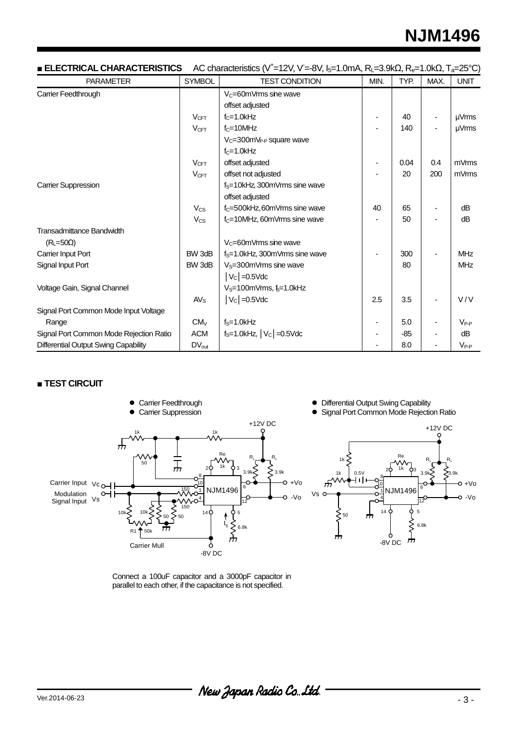## **NJM1496**

| <b>ELECTRICAL CHARACTERISTICS</b>       |                       | AC characteristics (V <sup>+</sup> =12V, V=-8V, I <sub>5</sub> =1.0mA, R <sub>L</sub> =3.9kΩ, R <sub>e</sub> =1.0kΩ, T <sub>a</sub> =25°C) |      |       |      |                   |
|-----------------------------------------|-----------------------|--------------------------------------------------------------------------------------------------------------------------------------------|------|-------|------|-------------------|
| <b>PARAMETER</b>                        | <b>SYMBOL</b>         | <b>TEST CONDITION</b>                                                                                                                      | MIN. | TYP.  | MAX. | <b>UNIT</b>       |
| Carrier Feedthrough                     |                       | $V_C = 60$ mVrms sine wave                                                                                                                 |      |       |      |                   |
|                                         |                       | offset adjusted                                                                                                                            |      |       |      |                   |
|                                         | $V_{CFT}$             | $fc=1.0$ kHz                                                                                                                               |      | 40    |      | µVrms             |
|                                         | $V_{CFT}$             | $f_C = 10$ MHz                                                                                                                             |      | 140   |      | µVrms             |
|                                         |                       | $V_C = 300$ m $V_{P-P}$ square wave                                                                                                        |      |       |      |                   |
|                                         |                       | $f_C = 1.0$ kHz                                                                                                                            |      |       |      |                   |
|                                         | V <sub>CFT</sub>      | offset adjusted                                                                                                                            |      | 0.04  | 0.4  | mV <sub>rms</sub> |
|                                         | V <sub>CFT</sub>      | offset not adjusted                                                                                                                        |      | 20    | 200  | mVmms             |
| Carrier Suppression                     |                       | f <sub>S</sub> =10kHz, 300mVrms sine wave                                                                                                  |      |       |      |                   |
|                                         |                       | offset adjusted                                                                                                                            |      |       |      |                   |
|                                         | <b>V<sub>cs</sub></b> | f <sub>c</sub> =500kHz, 60mVrms sine wave                                                                                                  | 40   | 65    |      | dB                |
|                                         | <b>V<sub>cs</sub></b> | f <sub>c</sub> =10MHz, 60mVrms sine wave                                                                                                   |      | 50    |      | dB                |
| <b>Transadmittance Bandwidth</b>        |                       |                                                                                                                                            |      |       |      |                   |
| $(RL=50\Omega)$                         |                       | $V_C = 60$ mVrms sine wave                                                                                                                 |      |       |      |                   |
| Carrier Input Port                      | BW 3dB                | $f_s = 1.0$ kHz, 300mVrms sine wave                                                                                                        |      | 300   |      | <b>MHz</b>        |
| Signal Input Port                       | BW 3dB                | $VS=300mVrms$ sine wave                                                                                                                    |      | 80    |      | <b>MHz</b>        |
|                                         |                       | $ V_C $ = 0.5Vdc                                                                                                                           |      |       |      |                   |
| Voltage Gain, Signal Channel            |                       | V <sub>S</sub> =100mVrms, &=1.0kHz                                                                                                         |      |       |      |                   |
|                                         | AV <sub>S</sub>       | $ V_C $ = 0.5 Vdc                                                                                                                          | 2.5  | 3.5   |      | V/V               |
| Signal Port Common Mode Input Voltage   |                       |                                                                                                                                            |      |       |      |                   |
| Range                                   | CM <sub>V</sub>       | $fS=1.0kHz$                                                                                                                                |      | 5.0   |      | $V_{P-P}$         |
| Signal Port Common Mode Rejection Ratio | <b>ACM</b>            | $f_S = 1.0$ kHz, $ V_C  = 0.5$ Vdc                                                                                                         |      | $-85$ |      | dB                |
| Differential Output Swing Capability    | $DV_{out}$            |                                                                                                                                            |      | 8.0   |      | $V_{P-P}$         |

#### **■ TEST CIRCUIT**



• Differential Output Swing Capability

**• Signal Port Common Mode Rejection Ratio** 



Connect a 100uF capacitor and a 3000pF capacitor in parallel to each other, if the capacitance is not specified.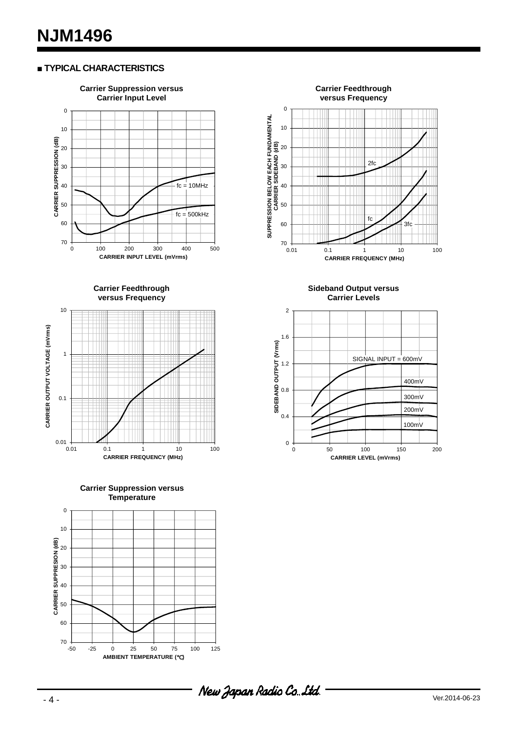#### **■ TYPICAL CHARACTERISTICS**



**Carrier Suppression versus Temperature**





**Sideband Output versus Carrier Levels**